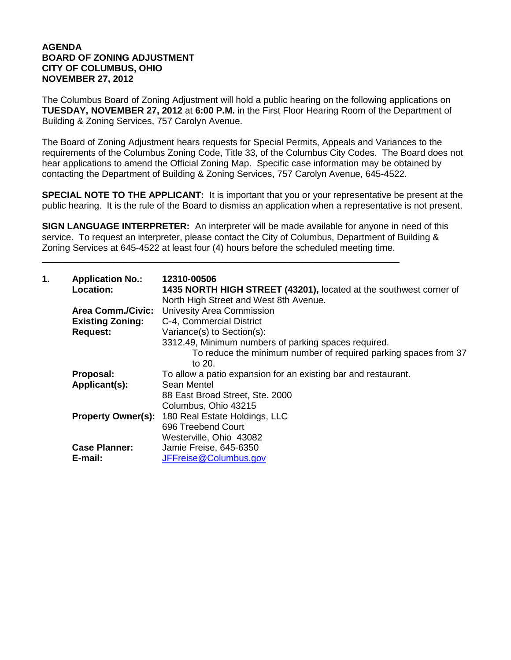## **AGENDA BOARD OF ZONING ADJUSTMENT CITY OF COLUMBUS, OHIO NOVEMBER 27, 2012**

The Columbus Board of Zoning Adjustment will hold a public hearing on the following applications on **TUESDAY, NOVEMBER 27, 2012** at **6:00 P.M.** in the First Floor Hearing Room of the Department of Building & Zoning Services, 757 Carolyn Avenue.

The Board of Zoning Adjustment hears requests for Special Permits, Appeals and Variances to the requirements of the Columbus Zoning Code, Title 33, of the Columbus City Codes. The Board does not hear applications to amend the Official Zoning Map. Specific case information may be obtained by contacting the Department of Building & Zoning Services, 757 Carolyn Avenue, 645-4522.

**SPECIAL NOTE TO THE APPLICANT:** It is important that you or your representative be present at the public hearing. It is the rule of the Board to dismiss an application when a representative is not present.

**SIGN LANGUAGE INTERPRETER:** An interpreter will be made available for anyone in need of this service. To request an interpreter, please contact the City of Columbus, Department of Building & Zoning Services at 645-4522 at least four (4) hours before the scheduled meeting time.

\_\_\_\_\_\_\_\_\_\_\_\_\_\_\_\_\_\_\_\_\_\_\_\_\_\_\_\_\_\_\_\_\_\_\_\_\_\_\_\_\_\_\_\_\_\_\_\_\_\_\_\_\_\_\_\_\_\_\_\_\_\_\_\_\_\_\_\_\_\_

| 1. | <b>Application No.:</b><br>Location: | 12310-00506<br>1435 NORTH HIGH STREET (43201), located at the southwest corner of<br>North High Street and West 8th Avenue. |
|----|--------------------------------------|-----------------------------------------------------------------------------------------------------------------------------|
|    | <b>Area Comm./Civic:</b>             | <b>Univesity Area Commission</b>                                                                                            |
|    | <b>Existing Zoning:</b>              | C-4, Commercial District                                                                                                    |
|    | <b>Request:</b>                      | Variance(s) to Section(s):                                                                                                  |
|    |                                      | 3312.49, Minimum numbers of parking spaces required.                                                                        |
|    |                                      | To reduce the minimum number of required parking spaces from 37<br>to 20.                                                   |
|    | Proposal:                            | To allow a patio expansion for an existing bar and restaurant.                                                              |
|    | Applicant(s):                        | Sean Mentel                                                                                                                 |
|    |                                      | 88 East Broad Street, Ste. 2000                                                                                             |
|    |                                      | Columbus, Ohio 43215                                                                                                        |
|    |                                      | <b>Property Owner(s): 180 Real Estate Holdings, LLC</b>                                                                     |
|    |                                      | 696 Treebend Court                                                                                                          |
|    |                                      | Westerville, Ohio 43082                                                                                                     |
|    | <b>Case Planner:</b>                 | Jamie Freise, 645-6350                                                                                                      |
|    | E-mail:                              | JFFreise@Columbus.gov                                                                                                       |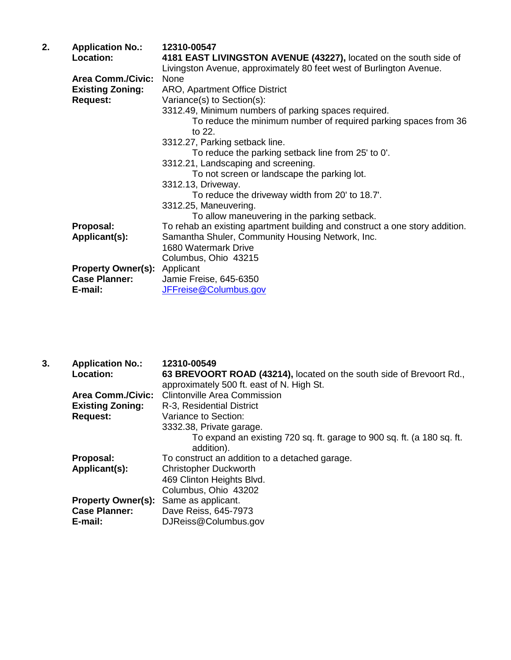| 2. | <b>Application No.:</b>   | 12310-00547                                                                  |
|----|---------------------------|------------------------------------------------------------------------------|
|    | Location:                 | 4181 EAST LIVINGSTON AVENUE (43227), located on the south side of            |
|    |                           | Livingston Avenue, approximately 80 feet west of Burlington Avenue.          |
|    | <b>Area Comm./Civic:</b>  | None                                                                         |
|    | <b>Existing Zoning:</b>   | ARO, Apartment Office District                                               |
|    | <b>Request:</b>           | Variance(s) to Section(s):                                                   |
|    |                           | 3312.49, Minimum numbers of parking spaces required.                         |
|    |                           | To reduce the minimum number of required parking spaces from 36<br>to $22$ . |
|    |                           | 3312.27, Parking setback line.                                               |
|    |                           | To reduce the parking setback line from 25' to 0'.                           |
|    |                           | 3312.21, Landscaping and screening.                                          |
|    |                           | To not screen or landscape the parking lot.                                  |
|    |                           | 3312.13, Driveway.                                                           |
|    |                           | To reduce the driveway width from 20' to 18.7'.                              |
|    |                           | 3312.25, Maneuvering.                                                        |
|    |                           | To allow maneuvering in the parking setback.                                 |
|    | Proposal:                 | To rehab an existing apartment building and construct a one story addition.  |
|    | Applicant(s):             | Samantha Shuler, Community Housing Network, Inc.                             |
|    |                           | 1680 Watermark Drive                                                         |
|    |                           | Columbus, Ohio 43215                                                         |
|    | <b>Property Owner(s):</b> | Applicant                                                                    |
|    | <b>Case Planner:</b>      | Jamie Freise, 645-6350                                                       |
|    | E-mail:                   | JFFreise@Columbus.gov                                                        |
|    |                           |                                                                              |

| 3. | <b>Application No.:</b>   | 12310-00549                                                                          |
|----|---------------------------|--------------------------------------------------------------------------------------|
|    | Location:                 | 63 BREVOORT ROAD (43214), located on the south side of Brevoort Rd.,                 |
|    |                           | approximately 500 ft. east of N. High St.                                            |
|    | <b>Area Comm./Civic:</b>  | <b>Clintonville Area Commission</b>                                                  |
|    | <b>Existing Zoning:</b>   | R-3, Residential District                                                            |
|    | <b>Request:</b>           | Variance to Section:                                                                 |
|    |                           | 3332.38, Private garage.                                                             |
|    |                           | To expand an existing 720 sq. ft. garage to 900 sq. ft. (a 180 sq. ft.<br>addition). |
|    | Proposal:                 | To construct an addition to a detached garage.                                       |
|    | Applicant(s):             | <b>Christopher Duckworth</b>                                                         |
|    |                           | 469 Clinton Heights Blvd.                                                            |
|    |                           | Columbus, Ohio 43202                                                                 |
|    | <b>Property Owner(s):</b> | Same as applicant.                                                                   |
|    | <b>Case Planner:</b>      | Dave Reiss, 645-7973                                                                 |
|    | E-mail:                   | DJReiss@Columbus.gov                                                                 |
|    |                           |                                                                                      |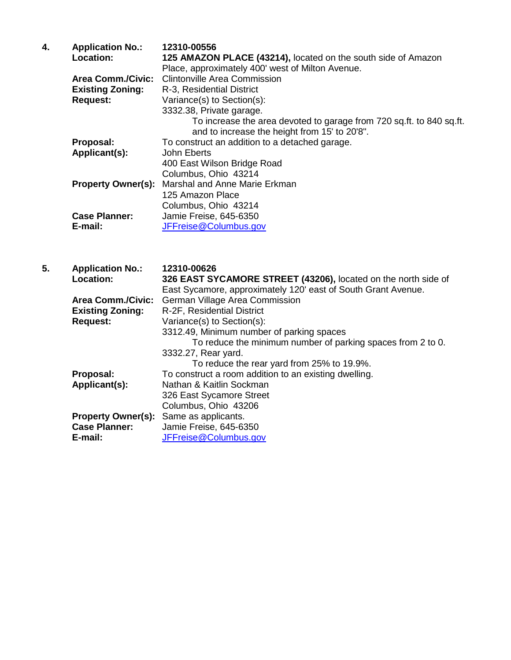| 4. | <b>Application No.:</b>   | 12310-00556                                                          |
|----|---------------------------|----------------------------------------------------------------------|
|    | Location:                 | 125 AMAZON PLACE (43214), located on the south side of Amazon        |
|    |                           | Place, approximately 400' west of Milton Avenue.                     |
|    | <b>Area Comm./Civic:</b>  | <b>Clintonville Area Commission</b>                                  |
|    | <b>Existing Zoning:</b>   | R-3, Residential District                                            |
|    | <b>Request:</b>           | Variance(s) to Section(s):                                           |
|    |                           | 3332.38, Private garage.                                             |
|    |                           | To increase the area devoted to garage from 720 sq.ft. to 840 sq.ft. |
|    |                           | and to increase the height from 15' to 20'8".                        |
|    | Proposal:                 | To construct an addition to a detached garage.                       |
|    | Applicant(s):             | John Eberts                                                          |
|    |                           | 400 East Wilson Bridge Road                                          |
|    |                           | Columbus, Ohio 43214                                                 |
|    | <b>Property Owner(s):</b> | Marshal and Anne Marie Erkman                                        |
|    |                           | 125 Amazon Place                                                     |
|    |                           | Columbus, Ohio 43214                                                 |
|    | <b>Case Planner:</b>      | Jamie Freise, 645-6350                                               |
|    | E-mail:                   | JFFreise@Columbus.gov                                                |

| 5. | <b>Application No.:</b>   | 12310-00626                                                    |
|----|---------------------------|----------------------------------------------------------------|
|    | Location:                 | 326 EAST SYCAMORE STREET (43206), located on the north side of |
|    |                           | East Sycamore, approximately 120' east of South Grant Avenue.  |
|    | <b>Area Comm./Civic:</b>  | German Village Area Commission                                 |
|    | <b>Existing Zoning:</b>   | R-2F, Residential District                                     |
|    | <b>Request:</b>           | Variance(s) to Section(s):                                     |
|    |                           | 3312.49, Minimum number of parking spaces                      |
|    |                           | To reduce the minimum number of parking spaces from 2 to 0.    |
|    |                           | 3332.27, Rear yard.                                            |
|    |                           | To reduce the rear yard from 25% to 19.9%.                     |
|    | Proposal:                 | To construct a room addition to an existing dwelling.          |
|    | Applicant(s):             | Nathan & Kaitlin Sockman                                       |
|    |                           | 326 East Sycamore Street                                       |
|    |                           | Columbus, Ohio 43206                                           |
|    | <b>Property Owner(s):</b> | Same as applicants.                                            |
|    | <b>Case Planner:</b>      | Jamie Freise, 645-6350                                         |
|    | E-mail:                   | JFFreise@Columbus.gov                                          |